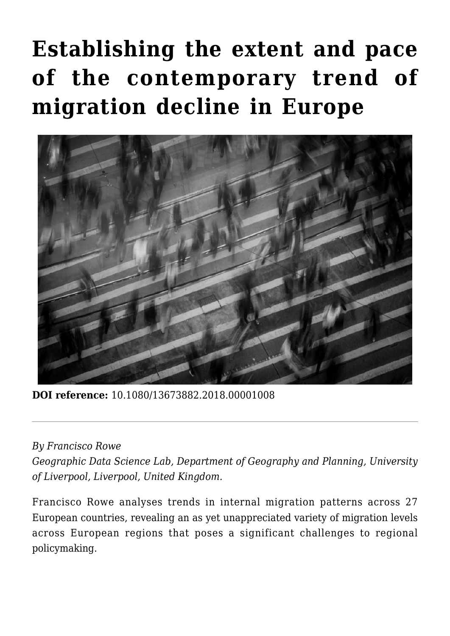# **[Establishing the extent and pace](https://regions.regionalstudies.org/ezine/article/establishing-the-extent-and-pace-of-the-contemporary-trend-of-migration-decline-in-europe/?doi=10.1080/13673882.2018.00001008) [of the contemporary trend of](https://regions.regionalstudies.org/ezine/article/establishing-the-extent-and-pace-of-the-contemporary-trend-of-migration-decline-in-europe/?doi=10.1080/13673882.2018.00001008) [migration decline in Europe](https://regions.regionalstudies.org/ezine/article/establishing-the-extent-and-pace-of-the-contemporary-trend-of-migration-decline-in-europe/?doi=10.1080/13673882.2018.00001008)**



**DOI reference:** 10.1080/13673882.2018.00001008

#### *By [Francisco Rowe](https://www.liverpool.ac.uk/environmental-sciences/staff/francisco-javier-rowe-gonzalez/)*

*Geographic Data Science Lab, Department of Geography and Planning, University of Liverpool, Liverpool, United Kingdom.* 

Francisco Rowe analyses trends in internal migration patterns across 27 European countries, revealing an as yet unappreciated variety of migration levels across European regions that poses a significant challenges to regional policymaking.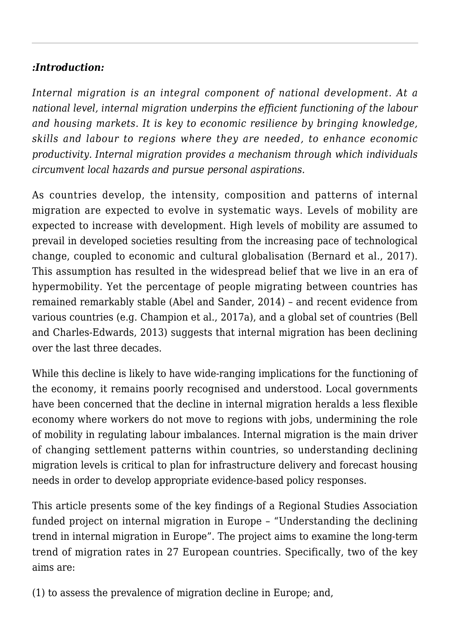# *:Introduction:*

*Internal migration is an integral component of national development. At a national level, internal migration underpins the efficient functioning of the labour and housing markets. It is key to economic resilience by bringing knowledge, skills and labour to regions where they are needed, to enhance economic productivity. Internal migration provides a mechanism through which individuals circumvent local hazards and pursue personal aspirations.*

As countries develop, the intensity, composition and patterns of internal migration are expected to evolve in systematic ways. Levels of mobility are expected to increase with development. High levels of mobility are assumed to prevail in developed societies resulting from the increasing pace of technological change, coupled to economic and cultural globalisation [\(Bernard et al., 2017\)](https://doi.org/10.1371/journal.pone.0173895). This assumption has resulted in the widespread belief that we live in an era of hypermobility. Yet the percentage of people migrating between countries has remained remarkably stable ([Abel and Sander, 2014](http://science.sciencemag.org/content/sci/343/6178/1520.full.pdf?ijkey=ypit4/xi7wo4M&keytype=ref&siteid=sci)) – and recent evidence from various countries (e.g. Champion et al., 2017a), and a global set of countries ([Bell](http://www.un.org/en/development/desa/population/publications/pdf/technical/TP2013-1.pdf) [and Charles-Edwards, 2013\)](http://www.un.org/en/development/desa/population/publications/pdf/technical/TP2013-1.pdf) suggests that internal migration has been declining over the last three decades.

While this decline is likely to have wide-ranging implications for the functioning of the economy, it remains poorly recognised and understood. Local governments have been concerned that the decline in internal migration heralds a less flexible economy where workers do not move to regions with jobs, undermining the role of mobility in regulating labour imbalances. Internal migration is the main driver of changing settlement patterns within countries, so understanding declining migration levels is critical to plan for infrastructure delivery and forecast housing needs in order to develop appropriate evidence-based policy responses.

This article presents some of the key findings of a Regional Studies Association funded project on internal migration in Europe – "[Understanding the declining](http://www.regionalstudies.org/funding/report/francisco-rowe) [trend in internal migration in Europe"](http://www.regionalstudies.org/funding/report/francisco-rowe). The project aims to examine the long-term trend of migration rates in 27 European countries. Specifically, two of the key aims are:

(1) to assess the prevalence of migration decline in Europe; and,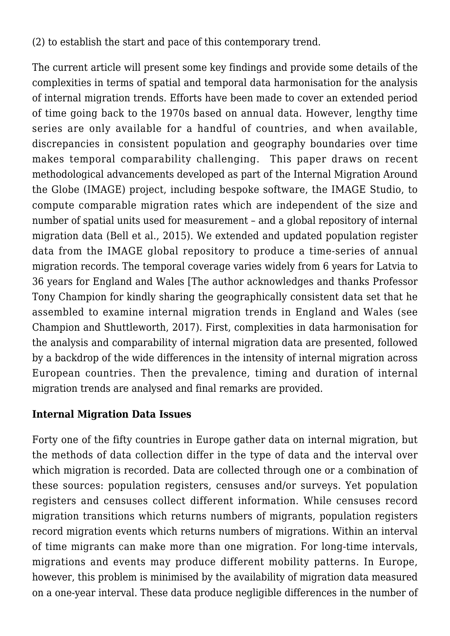(2) to establish the start and pace of this contemporary trend.

The current article will present some key findings and provide some details of the complexities in terms of spatial and temporal data harmonisation for the analysis of internal migration trends. Efforts have been made to cover an extended period of time going back to the 1970s based on annual data. However, lengthy time series are only available for a handful of countries, and when available, discrepancies in consistent population and geography boundaries over time makes temporal comparability challenging. This paper draws on recent methodological advancements developed as part of the [Internal Migration Around](https://imageproject.com.au/) [the Globe](https://imageproject.com.au/) (IMAGE) project, including bespoke software, the IMAGE Studio, to compute comparable migration rates which are independent of the size and number of spatial units used for measurement – and a global repository of internal migration data ([Bell et al., 2015](https://doi.org/10.1002/psp.1848)). We extended and updated population register data from the IMAGE global repository to produce a time-series of annual migration records. The temporal coverage varies widely from 6 years for Latvia to 36 years for England and Wales [The author acknowledges and thanks Professor Tony Champion for kindly sharing the geographically consistent data set that he assembled to examine internal migration trends in England and Wales (see Champion and Shuttleworth, 2017). First, complexities in data harmonisation for the analysis and comparability of internal migration data are presented, followed by a backdrop of the wide differences in the intensity of internal migration across European countries. Then the prevalence, timing and duration of internal migration trends are analysed and final remarks are provided.

### **Internal Migration Data Issues**

Forty one of the fifty countries in Europe gather data on internal migration, but the methods of data collection differ in the type of data and the interval over which migration is recorded. Data are collected through one or a combination of these sources: population registers, censuses and/or surveys. Yet population registers and censuses collect different information. While censuses record migration transitions which returns numbers of migrants, population registers record migration events which returns numbers of migrations. Within an interval of time migrants can make more than one migration. For long-time intervals, migrations and events may produce different mobility patterns. In Europe, however, this problem is minimised by the availability of migration data measured on a one-year interval. These data produce negligible differences in the number of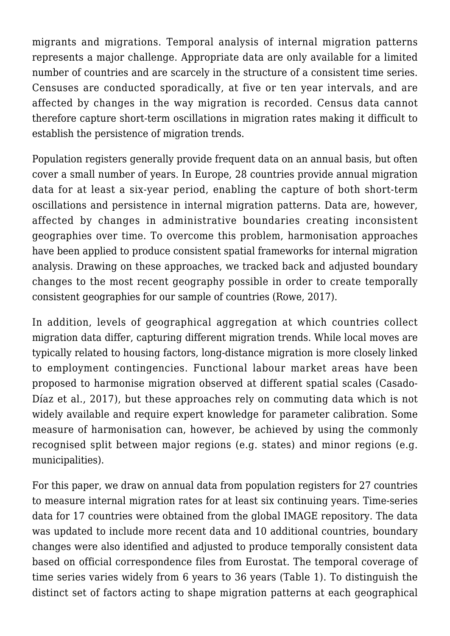migrants and migrations. Temporal analysis of internal migration patterns represents a major challenge. Appropriate data are only available for a limited number of countries and are scarcely in the structure of a consistent time series. Censuses are conducted sporadically, at five or ten year intervals, and are affected by changes in the way migration is recorded. Census data cannot therefore capture short-term oscillations in migration rates making it difficult to establish the persistence of migration trends.

Population registers generally provide frequent data on an annual basis, but often cover a small number of years. In Europe, 28 countries provide annual migration data for at least a six-year period, enabling the capture of both short-term oscillations and persistence in internal migration patterns. Data are, however, affected by changes in administrative boundaries creating inconsistent geographies over time. To overcome this problem, harmonisation approaches have been applied to produce consistent spatial frameworks for internal migration analysis. Drawing on these approaches, we tracked back and adjusted boundary changes to the most recent geography possible in order to create temporally consistent geographies for our sample of countries [\(Rowe, 2017\)](http://openjournals.wu.ac.at/region/paper_198/198.html).

In addition, levels of geographical aggregation at which countries collect migration data differ, capturing different migration trends. While local moves are typically related to housing factors, long-distance migration is more closely linked to employment contingencies. Functional labour market areas have been proposed to harmonise migration observed at different spatial scales (Casado-Díaz et al., 2017), but these approaches rely on commuting data which is not widely available and require expert knowledge for parameter calibration. Some measure of harmonisation can, however, be achieved by using the commonly recognised split between major regions (e.g. states) and minor regions (e.g. municipalities).

For this paper, we draw on annual data from population registers for 27 countries to measure internal migration rates for at least six continuing years. Time-series data for 17 countries were obtained from the global IMAGE repository. The data was updated to include more recent data and 10 additional countries, boundary changes were also identified and adjusted to produce temporally consistent data based on official correspondence files from Eurostat. The temporal coverage of time series varies widely from 6 years to 36 years (Table 1). To distinguish the distinct set of factors acting to shape migration patterns at each geographical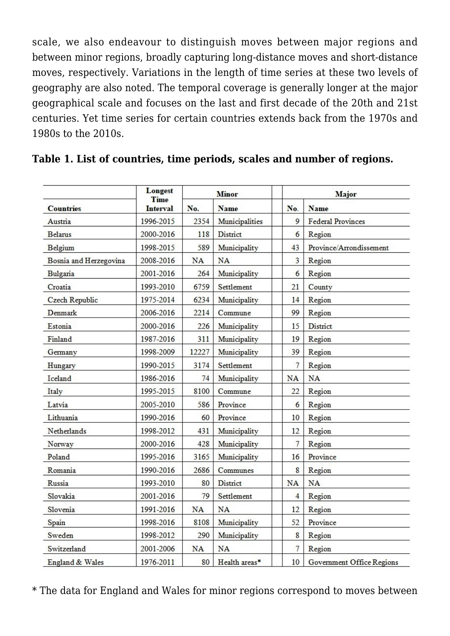scale, we also endeavour to distinguish moves between major regions and between minor regions, broadly capturing long-distance moves and short-distance moves, respectively. Variations in the length of time series at these two levels of geography are also noted. The temporal coverage is generally longer at the major geographical scale and focuses on the last and first decade of the 20th and 21st centuries. Yet time series for certain countries extends back from the 1970s and 1980s to the 2010s.

| <b>Countries</b>       | <b>Longest</b><br>Time<br><b>Interval</b> | <b>Minor</b> |                 | Major          |                           |
|------------------------|-------------------------------------------|--------------|-----------------|----------------|---------------------------|
|                        |                                           | No.          | <b>Name</b>     | No.            | <b>Name</b>               |
| Austria                | 1996-2015                                 | 2354         | Municipalities  | 9              | <b>Federal Provinces</b>  |
| <b>Belarus</b>         | 2000-2016                                 | 118          | <b>District</b> | 6              | Region                    |
| Belgium                | 1998-2015                                 | 589          | Municipality    | 43             | Province/Arrondissement   |
| Bosnia and Herzegovina | 2008-2016                                 | NA           | <b>NA</b>       | 3              | Region                    |
| Bulgaria               | 2001-2016                                 | 264          | Municipality    | 6              | Region                    |
| Croatia                | 1993-2010                                 | 6759         | Settlement      | 21             | County                    |
| <b>Czech Republic</b>  | 1975-2014                                 | 6234         | Municipality    | 14             | Region                    |
| Denmark                | 2006-2016                                 | 2214         | Commune         | 99             | Region                    |
| Estonia                | 2000-2016                                 | 226          | Municipality    | 15             | <b>District</b>           |
| Finland                | 1987-2016                                 | 311          | Municipality    | 19             | Region                    |
| Germany                | 1998-2009                                 | 12227        | Municipality    | 39             | Region                    |
| Hungary                | 1990-2015                                 | 3174         | Settlement      | 7              | Region                    |
| Iceland                | 1986-2016                                 | 74           | Municipality    | <b>NA</b>      | <b>NA</b>                 |
| Italy                  | 1995-2015                                 | 8100         | Commune         | 22             | Region                    |
| Latvia                 | 2005-2010                                 | 586          | Province        | 6              | Region                    |
| Lithuania              | 1990-2016                                 | 60           | Province        | 10             | Region                    |
| Netherlands            | 1998-2012                                 | 431          | Municipality    | 12             | Region                    |
| Norway                 | 2000-2016                                 | 428          | Municipality    | $\overline{7}$ | Region                    |
| Poland                 | 1995-2016                                 | 3165         | Municipality    | 16             | Province                  |
| Romania                | 1990-2016                                 | 2686         | Communes        | 8              | Region                    |
| Russia                 | 1993-2010                                 | 80           | District        | <b>NA</b>      | <b>NA</b>                 |
| Slovakia               | 2001-2016                                 | 79           | Settlement      | $\overline{4}$ | Region                    |
| Slovenia               | 1991-2016                                 | NA           | <b>NA</b>       | 12             | Region                    |
| Spain                  | 1998-2016                                 | 8108         | Municipality    | 52             | Province                  |
| Sweden                 | 1998-2012                                 | 290          | Municipality    | 8              | Region                    |
| Switzerland            | 2001-2006                                 | <b>NA</b>    | <b>NA</b>       | 7              | Region                    |
| England & Wales        | 1976-2011                                 | 80           | Health areas*   | 10             | Government Office Regions |

#### **Table 1. List of countries, time periods, scales and number of regions.**

\* The data for England and Wales for minor regions correspond to moves between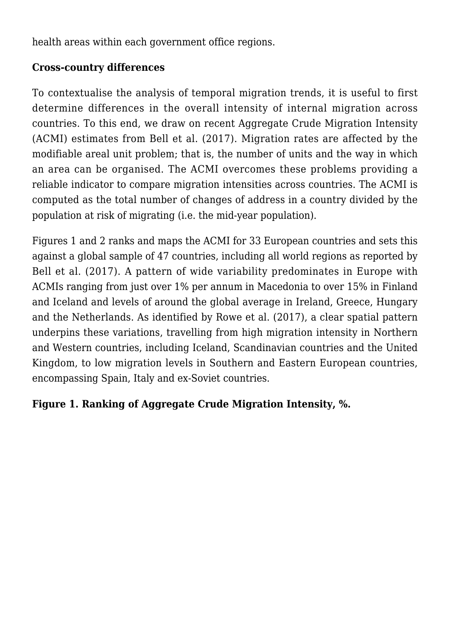health areas within each government office regions.

## **Cross-country differences**

To contextualise the analysis of temporal migration trends, it is useful to first determine differences in the overall intensity of internal migration across countries. To this end, we draw on recent Aggregate Crude Migration Intensity (ACMI) estimates from Bell et al. (2017). Migration rates are affected by the modifiable areal unit problem; that is, the number of units and the way in which an area can be organised. The ACMI overcomes these problems providing a reliable indicator to compare migration intensities across countries. The ACMI is computed as the total number of changes of address in a country divided by the population at risk of migrating (i.e. the mid-year population).

Figures 1 and 2 ranks and maps the ACMI for 33 European countries and sets this against a global sample of 47 countries, including all world regions as reported by Bell et al. (2017). A pattern of wide variability predominates in Europe with ACMIs ranging from just over 1% per annum in Macedonia to over 15% in Finland and Iceland and levels of around the global average in Ireland, Greece, Hungary and the Netherlands. As identified by Rowe et al. ([2017](http://openjournals.wu.ac.at/region/paper_198/198.html)), a clear spatial pattern underpins these variations, travelling from high migration intensity in Northern and Western countries, including Iceland, Scandinavian countries and the United Kingdom, to low migration levels in Southern and Eastern European countries, encompassing Spain, Italy and ex-Soviet countries.

### **Figure 1. Ranking of Aggregate Crude Migration Intensity, %.**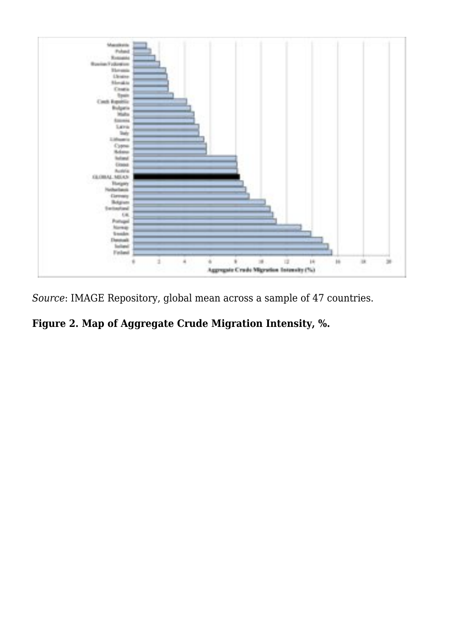

*Source*: IMAGE Repository, global mean across a sample of 47 countries.

# **Figure 2. Map of Aggregate Crude Migration Intensity, %.**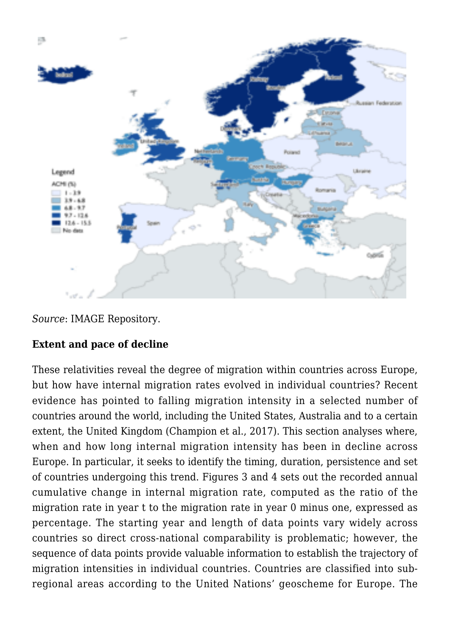

*Source*: IMAGE Repository.

# **Extent and pace of decline**

These relativities reveal the degree of migration within countries across Europe, but how have internal migration rates evolved in individual countries? Recent evidence has pointed to falling migration intensity in a selected number of countries around the world, including the United States, Australia and to a certain extent, the United Kingdom (Champion et al., 2017). This section analyses where, when and how long internal migration intensity has been in decline across Europe. In particular, it seeks to identify the timing, duration, persistence and set of countries undergoing this trend. Figures 3 and 4 sets out the recorded annual cumulative change in internal migration rate, computed as the ratio of the migration rate in year t to the migration rate in year 0 minus one, expressed as percentage. The starting year and length of data points vary widely across countries so direct cross-national comparability is problematic; however, the sequence of data points provide valuable information to establish the trajectory of migration intensities in individual countries. Countries are classified into subregional areas according to the United Nations' geoscheme for Europe. The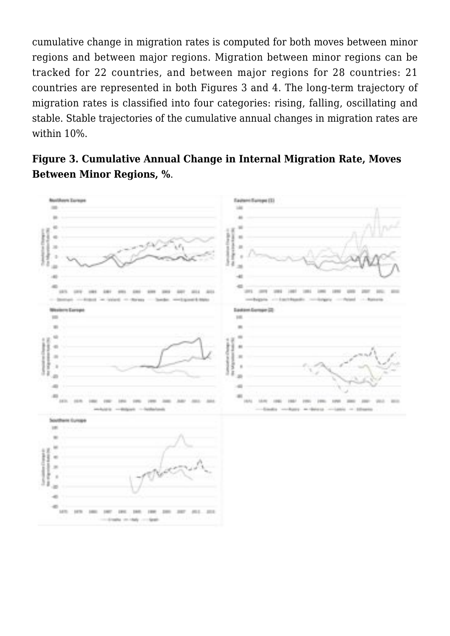cumulative change in migration rates is computed for both moves between minor regions and between major regions. Migration between minor regions can be tracked for 22 countries, and between major regions for 28 countries: 21 countries are represented in both Figures 3 and 4. The long-term trajectory of migration rates is classified into four categories: rising, falling, oscillating and stable. Stable trajectories of the cumulative annual changes in migration rates are within 10%.



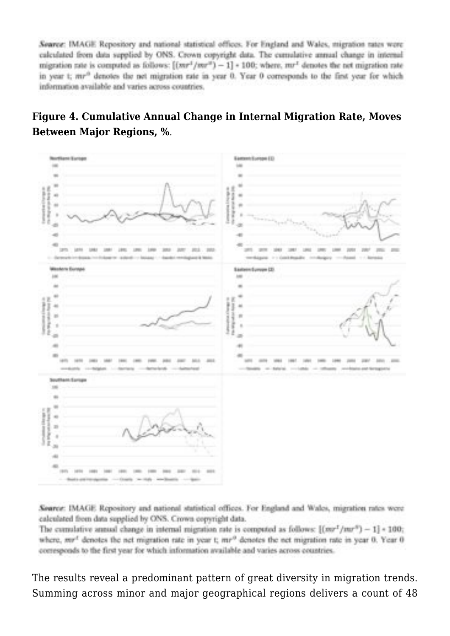Source: IMAGE Repository and national statistical offices. For England and Wales, migration rates were calculated from data supplied by ONS. Crown conveight data. The cumulative annual change in internal migration rate is computed as follows:  $[(mr^2/mr^2) - 1]$  = 100; where,  $mr^2$  denotes the net migration rate in year t; mr<sup>3</sup> denotes the net migration rate in year 0. Year 0 corresponds to the first year for which information available and varies across countries.

## **Figure 4. Cumulative Annual Change in Internal Migration Rate, Moves Between Major Regions, %**.



Source: IMAGE Repository and national statistical offices. For England and Wales, migration rates were calculated from data supplied by ONS. Crown copyright data.

The cumulative annual change in internal migration rate is computed as follows:  $[(mr^2/mr^3) - 1] * 100$ ; where, mr<sup>4</sup> denotes the net migration rate in year t; mr<sup>9</sup> denotes the net migration rate in year 0. Year 0 corresponds to the first year for which information available and varies across countries.

The results reveal a predominant pattern of great diversity in migration trends. Summing across minor and major geographical regions delivers a count of 48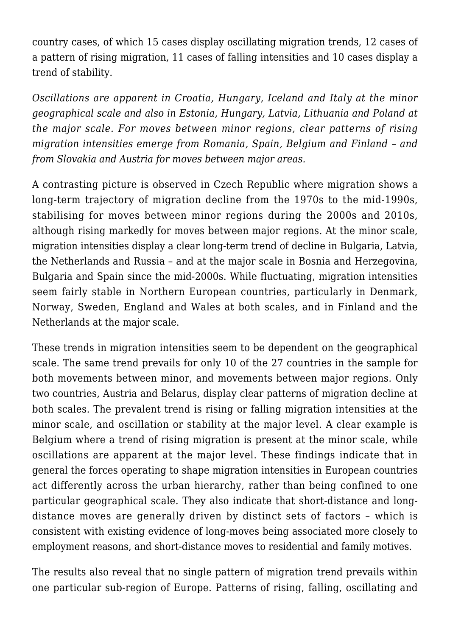country cases, of which 15 cases display oscillating migration trends, 12 cases of a pattern of rising migration, 11 cases of falling intensities and 10 cases display a trend of stability.

*Oscillations are apparent in Croatia, Hungary, Iceland and Italy at the minor geographical scale and also in Estonia, Hungary, Latvia, Lithuania and Poland at the major scale. For moves between minor regions, clear patterns of rising migration intensities emerge from Romania, Spain, Belgium and Finland – and from Slovakia and Austria for moves between major areas.*

A contrasting picture is observed in Czech Republic where migration shows a long-term trajectory of migration decline from the 1970s to the mid-1990s, stabilising for moves between minor regions during the 2000s and 2010s, although rising markedly for moves between major regions. At the minor scale, migration intensities display a clear long-term trend of decline in Bulgaria, Latvia, the Netherlands and Russia – and at the major scale in Bosnia and Herzegovina, Bulgaria and Spain since the mid-2000s. While fluctuating, migration intensities seem fairly stable in Northern European countries, particularly in Denmark, Norway, Sweden, England and Wales at both scales, and in Finland and the Netherlands at the major scale.

These trends in migration intensities seem to be dependent on the geographical scale. The same trend prevails for only 10 of the 27 countries in the sample for both movements between minor, and movements between major regions. Only two countries, Austria and Belarus, display clear patterns of migration decline at both scales. The prevalent trend is rising or falling migration intensities at the minor scale, and oscillation or stability at the major level. A clear example is Belgium where a trend of rising migration is present at the minor scale, while oscillations are apparent at the major level. These findings indicate that in general the forces operating to shape migration intensities in European countries act differently across the urban hierarchy, rather than being confined to one particular geographical scale. They also indicate that short-distance and longdistance moves are generally driven by distinct sets of factors – which is consistent with existing evidence of long-moves being associated more closely to employment reasons, and short-distance moves to residential and family motives.

The results also reveal that no single pattern of migration trend prevails within one particular sub-region of Europe. Patterns of rising, falling, oscillating and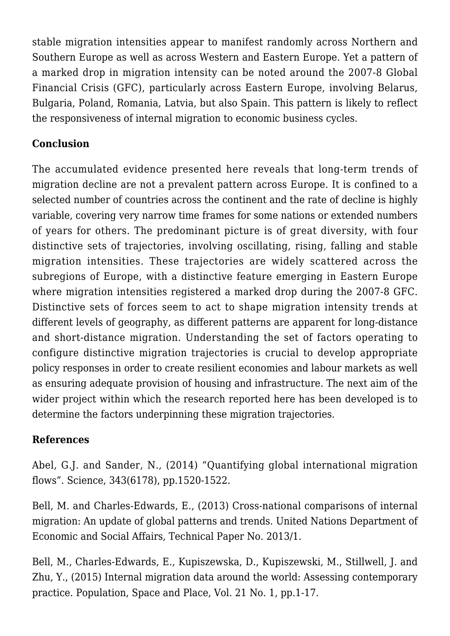stable migration intensities appear to manifest randomly across Northern and Southern Europe as well as across Western and Eastern Europe. Yet a pattern of a marked drop in migration intensity can be noted around the 2007-8 Global Financial Crisis (GFC), particularly across Eastern Europe, involving Belarus, Bulgaria, Poland, Romania, Latvia, but also Spain. This pattern is likely to reflect the responsiveness of internal migration to economic business cycles.

# **Conclusion**

The accumulated evidence presented here reveals that long-term trends of migration decline are not a prevalent pattern across Europe. It is confined to a selected number of countries across the continent and the rate of decline is highly variable, covering very narrow time frames for some nations or extended numbers of years for others. The predominant picture is of great diversity, with four distinctive sets of trajectories, involving oscillating, rising, falling and stable migration intensities. These trajectories are widely scattered across the subregions of Europe, with a distinctive feature emerging in Eastern Europe where migration intensities registered a marked drop during the 2007-8 GFC. Distinctive sets of forces seem to act to shape migration intensity trends at different levels of geography, as different patterns are apparent for long-distance and short-distance migration. Understanding the set of factors operating to configure distinctive migration trajectories is crucial to develop appropriate policy responses in order to create resilient economies and labour markets as well as ensuring adequate provision of housing and infrastructure. The next aim of the wider project within which the research reported here has been developed is to determine the factors underpinning these migration trajectories.

# **References**

[Abel, G.J. and Sander, N., \(2014\) "Quantifying global international migration](http://science.sciencemag.org/content/sci/343/6178/1520.full.pdf?ijkey=ypit4/xi7wo4M&keytype=ref&siteid=sci) [flows". Science, 343\(6178\), pp.1520-1522](http://science.sciencemag.org/content/sci/343/6178/1520.full.pdf?ijkey=ypit4/xi7wo4M&keytype=ref&siteid=sci).

[Bell, M. and Charles-Edwards, E., \(2013\) Cross-national comparisons of internal](http://www.un.org/en/development/desa/population/publications/pdf/technical/TP2013-1.pdf) [migration: An update of global patterns and trends. United Nations Department of](http://www.un.org/en/development/desa/population/publications/pdf/technical/TP2013-1.pdf) [Economic and Social Affairs, Technical Paper No. 2013/1](http://www.un.org/en/development/desa/population/publications/pdf/technical/TP2013-1.pdf).

[Bell, M., Charles-Edwards, E., Kupiszewska, D., Kupiszewski, M., Stillwell, J. and](https://doi.org/10.1002/psp.1848) [Zhu, Y., \(2015\) Internal migration data around the world: Assessing contemporary](https://doi.org/10.1002/psp.1848) [practice. Population, Space and Place, Vol. 21 No. 1, pp.1-17](https://doi.org/10.1002/psp.1848).